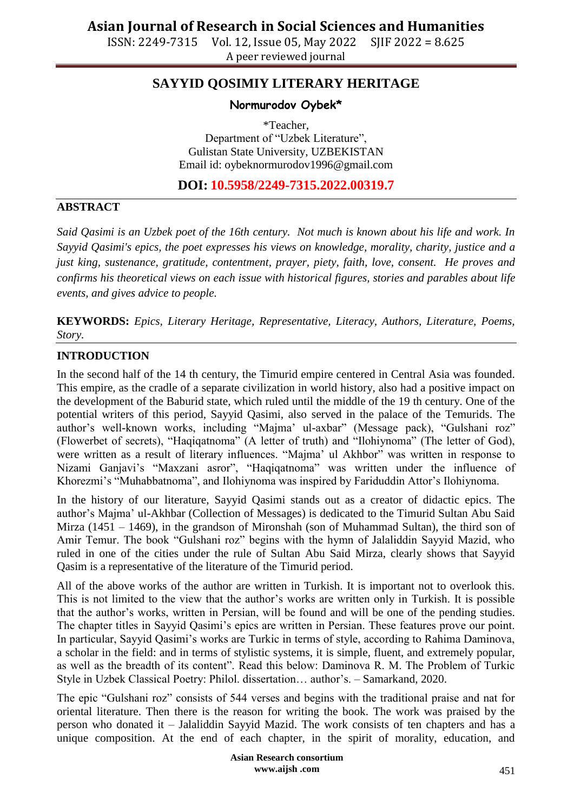A peer reviewed journal

## **SAYYID QOSIMIY LITERARY HERITAGE**

## **Normurodov Oybek\***

\*Teacher, Department of "Uzbek Literature", Gulistan State University, UZBEKISTAN Email id: [oybeknormurodov1996@gmail.com](mailto:oybeknormurodov1996@gmail.com)

**DOI: 10.5958/2249-7315.2022.00319.7**

### **ABSTRACT**

*Said Qasimi is an Uzbek poet of the 16th century. Not much is known about his life and work. In Sayyid Qasimi's epics, the poet expresses his views on knowledge, morality, charity, justice and a just king, sustenance, gratitude, contentment, prayer, piety, faith, love, consent. He proves and confirms his theoretical views on each issue with historical figures, stories and parables about life events, and gives advice to people.*

**KEYWORDS:** *Epics, Literary Heritage, Representative, Literacy, Authors, Literature, Poems, Story.*

### **INTRODUCTION**

In the second half of the 14 th century, the Timurid empire centered in Central Asia was founded. This empire, as the cradle of a separate civilization in world history, also had a positive impact on the development of the Baburid state, which ruled until the middle of the 19 th century. One of the potential writers of this period, Sayyid Qasimi, also served in the palace of the Temurids. The author"s well-known works, including "Majma" ul-axbar" (Message pack), "Gulshani roz" (Flowerbet of secrets), "Haqiqatnoma" (A letter of truth) and "Ilohiynoma" (The letter of God), were written as a result of literary influences. "Majma" ul Akhbor" was written in response to Nizami Ganjavi's "Maxzani asror", "Haqiqatnoma" was written under the influence of Khorezmi's "Muhabbatnoma", and Ilohiynoma was inspired by Fariduddin Attor's Ilohiynoma.

In the history of our literature, Sayyid Qasimi stands out as a creator of didactic epics. The author"s Majma" ul-Akhbar (Collection of Messages) is dedicated to the Timurid Sultan Abu Said Mirza (1451 – 1469), in the grandson of Mironshah (son of Muhammad Sultan), the third son of Amir Temur. The book "Gulshani roz" begins with the hymn of Jalaliddin Sayyid Mazid, who ruled in one of the cities under the rule of Sultan Abu Said Mirza, clearly shows that Sayyid Qasim is a representative of the literature of the Timurid period.

All of the above works of the author are written in Turkish. It is important not to overlook this. This is not limited to the view that the author"s works are written only in Turkish. It is possible that the author"s works, written in Persian, will be found and will be one of the pending studies. The chapter titles in Sayyid Qasimi's epics are written in Persian. These features prove our point. In particular, Sayyid Qasimi's works are Turkic in terms of style, according to Rahima Daminova, a scholar in the field: and in terms of stylistic systems, it is simple, fluent, and extremely popular, as well as the breadth of its content". Read this below: Daminova R. M. The Problem of Turkic Style in Uzbek Classical Poetry: Philol. dissertation... author's. - Samarkand, 2020.

The epic "Gulshani roz" consists of 544 verses and begins with the traditional praise and nat for oriental literature. Then there is the reason for writing the book. The work was praised by the person who donated it – Jalaliddin Sayyid Mazid. The work consists of ten chapters and has a unique composition. At the end of each chapter, in the spirit of morality, education, and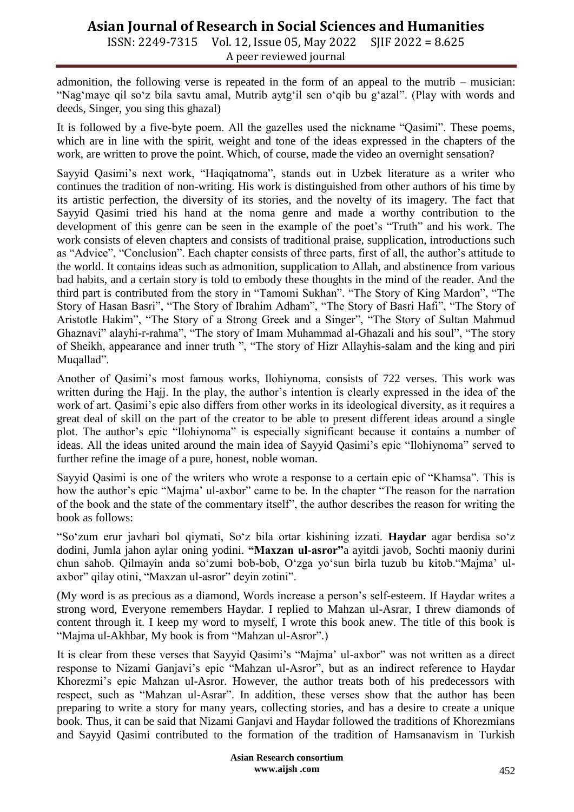# **Asian Journal of Research in Social Sciences and Humanities**

ISSN: 2249-7315 Vol. 12, Issue 05, May 2022 SJIF 2022 = 8.625 A peer reviewed journal

admonition, the following verse is repeated in the form of an appeal to the mutrib – musician: "Nag'maye qil so'z bila savtu amal, Mutrib aytg'il sen o'qib bu g'azal". (Play with words and deeds, Singer, you sing this ghazal)

It is followed by a five-byte poem. All the gazelles used the nickname "Qasimi". These poems, which are in line with the spirit, weight and tone of the ideas expressed in the chapters of the work, are written to prove the point. Which, of course, made the video an overnight sensation?

Sayyid Qasimi's next work, "Haqiqatnoma", stands out in Uzbek literature as a writer who continues the tradition of non-writing. His work is distinguished from other authors of his time by its artistic perfection, the diversity of its stories, and the novelty of its imagery. The fact that Sayyid Qasimi tried his hand at the noma genre and made a worthy contribution to the development of this genre can be seen in the example of the poet's "Truth" and his work. The work consists of eleven chapters and consists of traditional praise, supplication, introductions such as "Advice", "Conclusion". Each chapter consists of three parts, first of all, the author"s attitude to the world. It contains ideas such as admonition, supplication to Allah, and abstinence from various bad habits, and a certain story is told to embody these thoughts in the mind of the reader. And the third part is contributed from the story in "Tamomi Sukhan". "The Story of King Mardon", "The Story of Hasan Basri", "The Story of Ibrahim Adham", "The Story of Basri Hafi", "The Story of Aristotle Hakim", "The Story of a Strong Greek and a Singer", "The Story of Sultan Mahmud Ghaznavi" alayhi-r-rahma", "The story of Imam Muhammad al-Ghazali and his soul", "The story of Sheikh, appearance and inner truth ", "The story of Hizr Allayhis-salam and the king and piri Muqallad".

Another of Qasimi"s most famous works, Ilohiynoma, consists of 722 verses. This work was written during the Hajj. In the play, the author's intention is clearly expressed in the idea of the work of art. Qasimi"s epic also differs from other works in its ideological diversity, as it requires a great deal of skill on the part of the creator to be able to present different ideas around a single plot. The author"s epic "Ilohiynoma" is especially significant because it contains a number of ideas. All the ideas united around the main idea of Sayyid Qasimi's epic "Ilohiynoma" served to further refine the image of a pure, honest, noble woman.

Sayyid Qasimi is one of the writers who wrote a response to a certain epic of "Khamsa". This is how the author's epic "Majma' ul-axbor" came to be. In the chapter "The reason for the narration of the book and the state of the commentary itself", the author describes the reason for writing the book as follows:

"So"zum erur javhari bol qiymati, So"z bila ortar kishining izzati. **Haydar** agar berdisa so"z dodini, Jumla jahon aylar oning yodini. **"Maxzan ul-asror"**a ayitdi javob, Sochti maoniy durini chun sahob. Qilmayin anda so"zumi bob-bob, O"zga yo"sun birla tuzub bu kitob."Majma" ulaxbor" qilay otini, "Maxzan ul-asror" deyin zotini".

(My word is as precious as a diamond, Words increase a person"s self-esteem. If Haydar writes a strong word, Everyone remembers Haydar. I replied to Mahzan ul-Asrar, I threw diamonds of content through it. I keep my word to myself, I wrote this book anew. The title of this book is "Majma ul-Akhbar, My book is from "Mahzan ul-Asror".)

It is clear from these verses that Sayyid Qasimi's "Majma' ul-axbor" was not written as a direct response to Nizami Ganjavi"s epic "Mahzan ul-Asror", but as an indirect reference to Haydar Khorezmi's epic Mahzan ul-Asror. However, the author treats both of his predecessors with respect, such as "Mahzan ul-Asrar". In addition, these verses show that the author has been preparing to write a story for many years, collecting stories, and has a desire to create a unique book. Thus, it can be said that Nizami Ganjavi and Haydar followed the traditions of Khorezmians and Sayyid Qasimi contributed to the formation of the tradition of Hamsanavism in Turkish